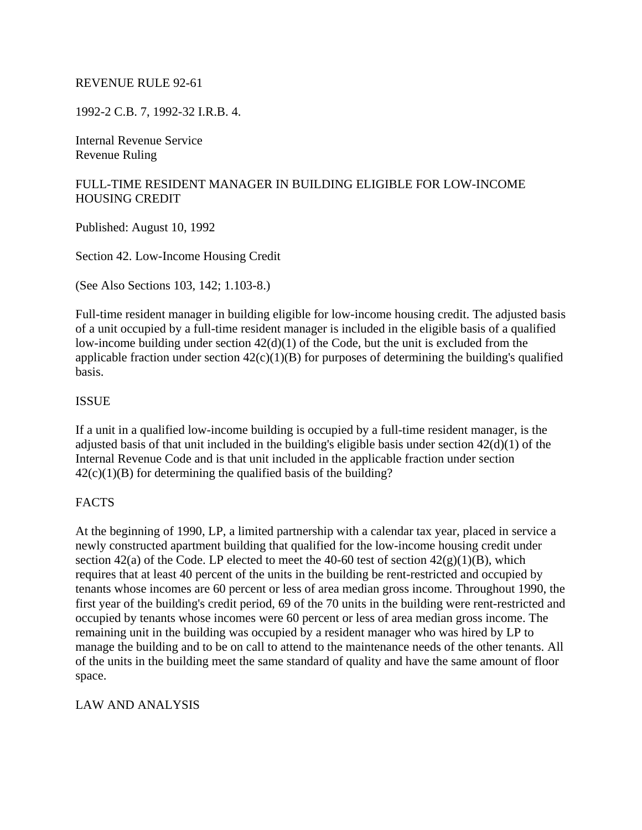#### REVENUE RULE 92-61

1992-2 C.B. 7, 1992-32 I.R.B. 4.

Internal Revenue Service Revenue Ruling

# FULL-TIME RESIDENT MANAGER IN BUILDING ELIGIBLE FOR LOW-INCOME HOUSING CREDIT

Published: August 10, 1992

Section 42. Low-Income Housing Credit

(See Also Sections 103, 142; 1.103-8.)

Full-time resident manager in building eligible for low-income housing credit. The adjusted basis of a unit occupied by a full-time resident manager is included in the eligible basis of a qualified low-income building under section  $42(d)(1)$  of the Code, but the unit is excluded from the applicable fraction under section  $42(c)(1)(B)$  for purposes of determining the building's qualified basis.

### ISSUE

If a unit in a qualified low-income building is occupied by a full-time resident manager, is the adjusted basis of that unit included in the building's eligible basis under section 42(d)(1) of the Internal Revenue Code and is that unit included in the applicable fraction under section  $42(c)(1)(B)$  for determining the qualified basis of the building?

#### **FACTS**

At the beginning of 1990, LP, a limited partnership with a calendar tax year, placed in service a newly constructed apartment building that qualified for the low-income housing credit under section 42(a) of the Code. LP elected to meet the 40-60 test of section  $42(g)(1)(B)$ , which requires that at least 40 percent of the units in the building be rent-restricted and occupied by tenants whose incomes are 60 percent or less of area median gross income. Throughout 1990, the first year of the building's credit period, 69 of the 70 units in the building were rent-restricted and occupied by tenants whose incomes were 60 percent or less of area median gross income. The remaining unit in the building was occupied by a resident manager who was hired by LP to manage the building and to be on call to attend to the maintenance needs of the other tenants. All of the units in the building meet the same standard of quality and have the same amount of floor space.

#### LAW AND ANALYSIS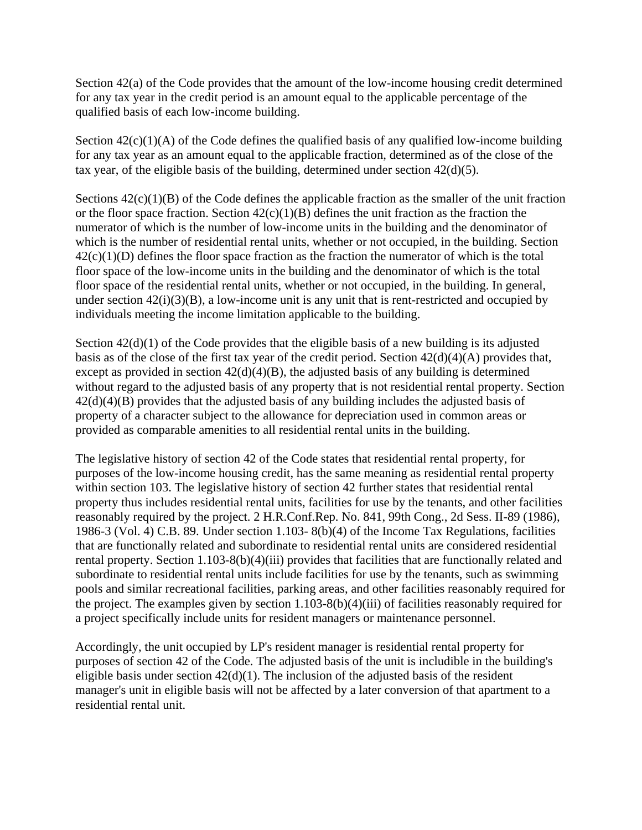Section 42(a) of the Code provides that the amount of the low-income housing credit determined for any tax year in the credit period is an amount equal to the applicable percentage of the qualified basis of each low-income building.

Section  $42(c)(1)(A)$  of the Code defines the qualified basis of any qualified low-income building for any tax year as an amount equal to the applicable fraction, determined as of the close of the tax year, of the eligible basis of the building, determined under section  $42(d)(5)$ .

Sections  $42(c)(1)(B)$  of the Code defines the applicable fraction as the smaller of the unit fraction or the floor space fraction. Section  $42(c)(1)(B)$  defines the unit fraction as the fraction the numerator of which is the number of low-income units in the building and the denominator of which is the number of residential rental units, whether or not occupied, in the building. Section  $42(c)(1)(D)$  defines the floor space fraction as the fraction the numerator of which is the total floor space of the low-income units in the building and the denominator of which is the total floor space of the residential rental units, whether or not occupied, in the building. In general, under section  $42(i)(3)(B)$ , a low-income unit is any unit that is rent-restricted and occupied by individuals meeting the income limitation applicable to the building.

Section  $42(d)(1)$  of the Code provides that the eligible basis of a new building is its adjusted basis as of the close of the first tax year of the credit period. Section 42(d)(4)(A) provides that, except as provided in section  $42(d)(4)(B)$ , the adjusted basis of any building is determined without regard to the adjusted basis of any property that is not residential rental property. Section 42(d)(4)(B) provides that the adjusted basis of any building includes the adjusted basis of property of a character subject to the allowance for depreciation used in common areas or provided as comparable amenities to all residential rental units in the building.

The legislative history of section 42 of the Code states that residential rental property, for purposes of the low-income housing credit, has the same meaning as residential rental property within section 103. The legislative history of section 42 further states that residential rental property thus includes residential rental units, facilities for use by the tenants, and other facilities reasonably required by the project. 2 H.R.Conf.Rep. No. 841, 99th Cong., 2d Sess. II-89 (1986), 1986-3 (Vol. 4) C.B. 89. Under section 1.103- 8(b)(4) of the Income Tax Regulations, facilities that are functionally related and subordinate to residential rental units are considered residential rental property. Section 1.103-8(b)(4)(iii) provides that facilities that are functionally related and subordinate to residential rental units include facilities for use by the tenants, such as swimming pools and similar recreational facilities, parking areas, and other facilities reasonably required for the project. The examples given by section  $1.103-8(b)(4)(iii)$  of facilities reasonably required for a project specifically include units for resident managers or maintenance personnel.

Accordingly, the unit occupied by LP's resident manager is residential rental property for purposes of section 42 of the Code. The adjusted basis of the unit is includible in the building's eligible basis under section  $42(d)(1)$ . The inclusion of the adjusted basis of the resident manager's unit in eligible basis will not be affected by a later conversion of that apartment to a residential rental unit.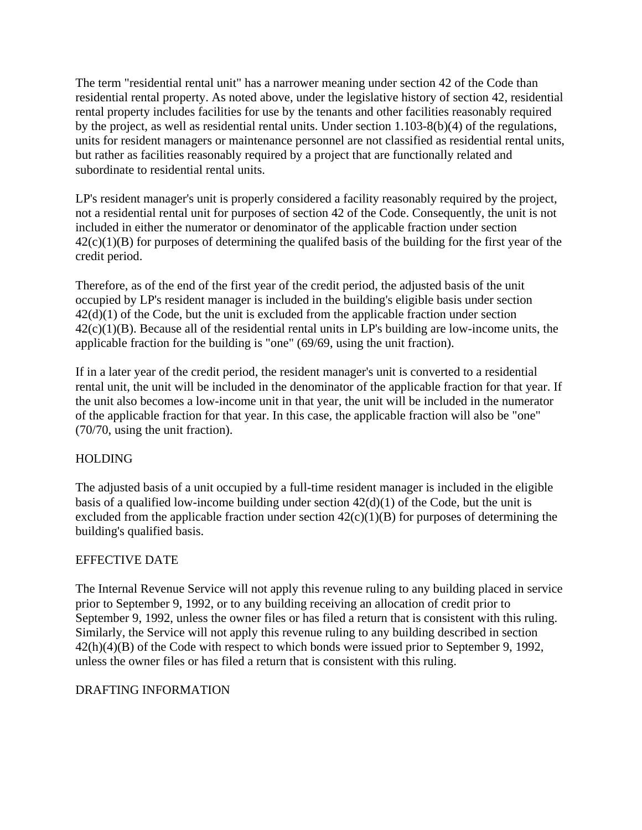The term "residential rental unit" has a narrower meaning under section 42 of the Code than residential rental property. As noted above, under the legislative history of section 42, residential rental property includes facilities for use by the tenants and other facilities reasonably required by the project, as well as residential rental units. Under section 1.103-8(b)(4) of the regulations, units for resident managers or maintenance personnel are not classified as residential rental units, but rather as facilities reasonably required by a project that are functionally related and subordinate to residential rental units.

LP's resident manager's unit is properly considered a facility reasonably required by the project, not a residential rental unit for purposes of section 42 of the Code. Consequently, the unit is not included in either the numerator or denominator of the applicable fraction under section  $42(c)(1)(B)$  for purposes of determining the qualifed basis of the building for the first year of the credit period.

Therefore, as of the end of the first year of the credit period, the adjusted basis of the unit occupied by LP's resident manager is included in the building's eligible basis under section  $42(d)(1)$  of the Code, but the unit is excluded from the applicable fraction under section  $42(c)(1)(B)$ . Because all of the residential rental units in LP's building are low-income units, the applicable fraction for the building is "one" (69/69, using the unit fraction).

If in a later year of the credit period, the resident manager's unit is converted to a residential rental unit, the unit will be included in the denominator of the applicable fraction for that year. If the unit also becomes a low-income unit in that year, the unit will be included in the numerator of the applicable fraction for that year. In this case, the applicable fraction will also be "one" (70/70, using the unit fraction).

# HOLDING

The adjusted basis of a unit occupied by a full-time resident manager is included in the eligible basis of a qualified low-income building under section  $42(d)(1)$  of the Code, but the unit is excluded from the applicable fraction under section  $42(c)(1)(B)$  for purposes of determining the building's qualified basis.

# EFFECTIVE DATE

The Internal Revenue Service will not apply this revenue ruling to any building placed in service prior to September 9, 1992, or to any building receiving an allocation of credit prior to September 9, 1992, unless the owner files or has filed a return that is consistent with this ruling. Similarly, the Service will not apply this revenue ruling to any building described in section 42(h)(4)(B) of the Code with respect to which bonds were issued prior to September 9, 1992, unless the owner files or has filed a return that is consistent with this ruling.

#### DRAFTING INFORMATION